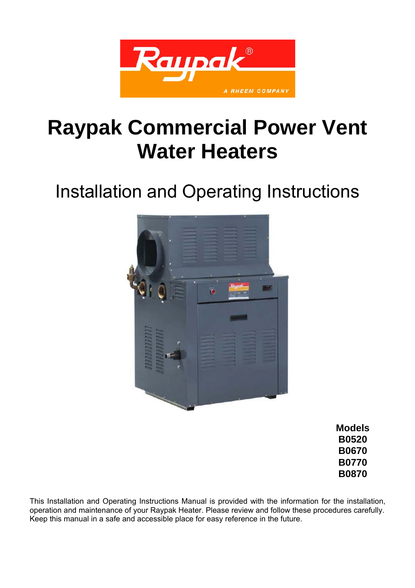

# **Raypak Commercial Power Vent Water Heaters**

# Installation and Operating Instructions



**Models B0520 B0670 B0770 B0870** 

This Installation and Operating Instructions Manual is provided with the information for the installation, operation and maintenance of your Raypak Heater. Please review and follow these procedures carefully. Keep this manual in a safe and accessible place for easy reference in the future.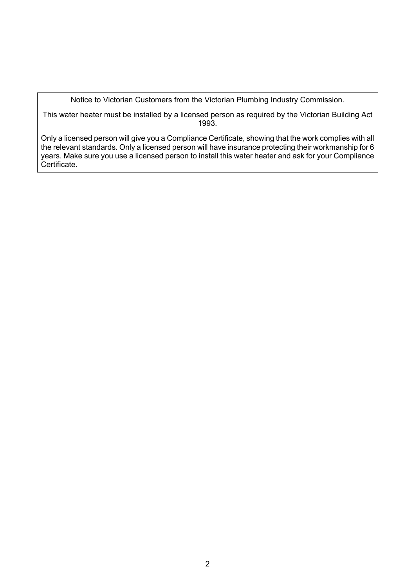Notice to Victorian Customers from the Victorian Plumbing Industry Commission.

This water heater must be installed by a licensed person as required by the Victorian Building Act 1993.

Only a licensed person will give you a Compliance Certificate, showing that the work complies with all the relevant standards. Only a licensed person will have insurance protecting their workmanship for 6 years. Make sure you use a licensed person to install this water heater and ask for your Compliance Certificate.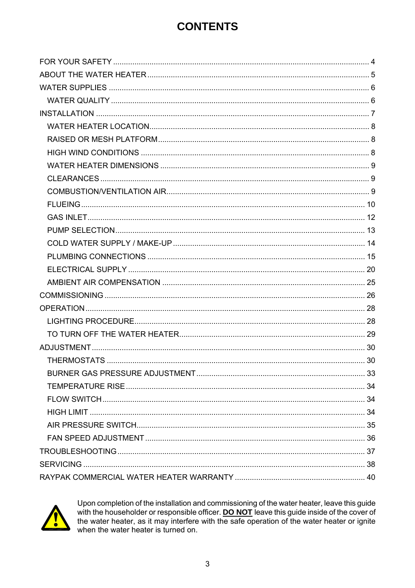# **CONTENTS**



Upon completion of the installation and commissioning of the water heater, leave this guide with the householder or responsible officer. DO NOT leave this guide inside of the cover of the water heater, as it may interfere with the safe operation of the water heater or ignite when the water heater is turned on.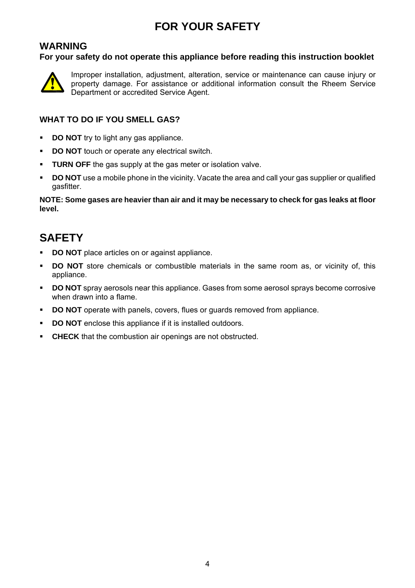# **FOR YOUR SAFETY**

#### **WARNING**

**For your safety do not operate this appliance before reading this instruction booklet** 



Improper installation, adjustment, alteration, service or maintenance can cause injury or property damage. For assistance or additional information consult the Rheem Service Department or accredited Service Agent.

#### **WHAT TO DO IF YOU SMELL GAS?**

- **DO NOT** try to light any gas appliance.
- **DO NOT** touch or operate any electrical switch.
- **TURN OFF** the gas supply at the gas meter or isolation valve.
- **DO NOT** use a mobile phone in the vicinity. Vacate the area and call your gas supplier or qualified gasfitter.

**NOTE: Some gases are heavier than air and it may be necessary to check for gas leaks at floor level.** 

### **SAFETY**

- **DO NOT** place articles on or against appliance.
- **DO NOT** store chemicals or combustible materials in the same room as, or vicinity of, this appliance.
- **DO NOT** spray aerosols near this appliance. Gases from some aerosol sprays become corrosive when drawn into a flame.
- **DO NOT** operate with panels, covers, flues or quards removed from appliance.
- **DO NOT** enclose this appliance if it is installed outdoors.
- **CHECK** that the combustion air openings are not obstructed.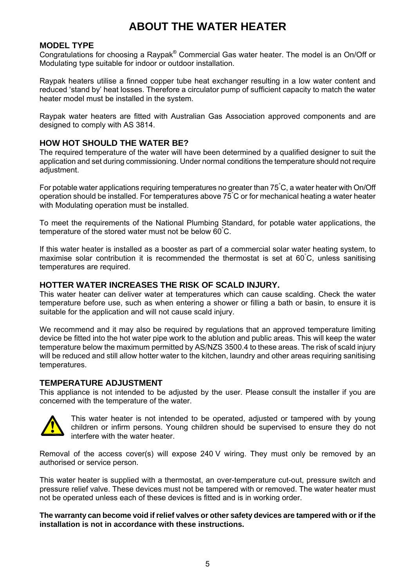### **ABOUT THE WATER HEATER**

#### **MODEL TYPE**

Congratulations for choosing a Raypak® Commercial Gas water heater. The model is an On/Off or Modulating type suitable for indoor or outdoor installation.

Raypak heaters utilise a finned copper tube heat exchanger resulting in a low water content and reduced 'stand by' heat losses. Therefore a circulator pump of sufficient capacity to match the water heater model must be installed in the system.

Raypak water heaters are fitted with Australian Gas Association approved components and are designed to comply with AS 3814.

#### **HOW HOT SHOULD THE WATER BE?**

The required temperature of the water will have been determined by a qualified designer to suit the application and set during commissioning. Under normal conditions the temperature should not require adjustment.

For potable water applications requiring temperatures no greater than 75° C, a water heater with On/Off operation should be installed. For temperatures above 75  $\degree$ C or for mechanical heating a water heater with Modulating operation must be installed.

To meet the requirements of the National Plumbing Standard, for potable water applications, the temperature of the stored water must not be below 60° C.

If this water heater is installed as a booster as part of a commercial solar water heating system, to maximise solar contribution it is recommended the thermostat is set at 60° C, unless sanitising temperatures are required.

#### **HOTTER WATER INCREASES THE RISK OF SCALD INJURY.**

This water heater can deliver water at temperatures which can cause scalding. Check the water temperature before use, such as when entering a shower or filling a bath or basin, to ensure it is suitable for the application and will not cause scald injury.

We recommend and it may also be required by requisitions that an approved temperature limiting device be fitted into the hot water pipe work to the ablution and public areas. This will keep the water temperature below the maximum permitted by AS/NZS 3500.4 to these areas. The risk of scald injury will be reduced and still allow hotter water to the kitchen, laundry and other areas requiring sanitising temperatures.

#### **TEMPERATURE ADJUSTMENT**

This appliance is not intended to be adjusted by the user. Please consult the installer if you are concerned with the temperature of the water.



This water heater is not intended to be operated, adjusted or tampered with by young children or infirm persons. Young children should be supervised to ensure they do not interfere with the water heater.

Removal of the access cover(s) will expose 240 V wiring. They must only be removed by an authorised or service person.

This water heater is supplied with a thermostat, an over-temperature cut-out, pressure switch and pressure relief valve. These devices must not be tampered with or removed. The water heater must not be operated unless each of these devices is fitted and is in working order.

**The warranty can become void if relief valves or other safety devices are tampered with or if the installation is not in accordance with these instructions.**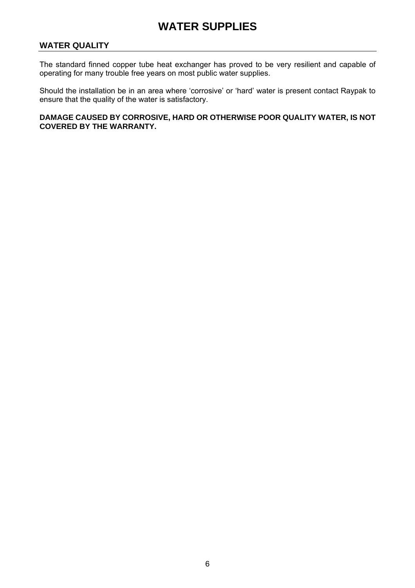### **WATER SUPPLIES**

#### **WATER QUALITY**

The standard finned copper tube heat exchanger has proved to be very resilient and capable of operating for many trouble free years on most public water supplies.

Should the installation be in an area where 'corrosive' or 'hard' water is present contact Raypak to ensure that the quality of the water is satisfactory.

**DAMAGE CAUSED BY CORROSIVE, HARD OR OTHERWISE POOR QUALITY WATER, IS NOT COVERED BY THE WARRANTY.**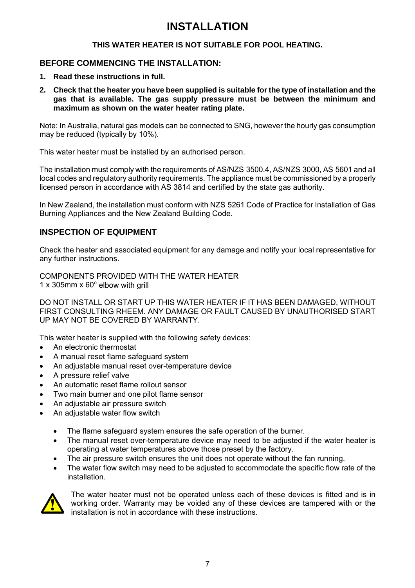#### **THIS WATER HEATER IS NOT SUITABLE FOR POOL HEATING.**

#### **BEFORE COMMENCING THE INSTALLATION:**

- **1. Read these instructions in full.**
- **2. Check that the heater you have been supplied is suitable for the type of installation and the gas that is available. The gas supply pressure must be between the minimum and maximum as shown on the water heater rating plate.**

Note: In Australia, natural gas models can be connected to SNG, however the hourly gas consumption may be reduced (typically by 10%).

This water heater must be installed by an authorised person.

The installation must comply with the requirements of AS/NZS 3500.4, AS/NZS 3000, AS 5601 and all local codes and regulatory authority requirements. The appliance must be commissioned by a properly licensed person in accordance with AS 3814 and certified by the state gas authority.

In New Zealand, the installation must conform with NZS 5261 Code of Practice for Installation of Gas Burning Appliances and the New Zealand Building Code.

#### **INSPECTION OF EQUIPMENT**

Check the heater and associated equipment for any damage and notify your local representative for any further instructions.

COMPONENTS PROVIDED WITH THE WATER HEATER  $1 \times 305$ mm  $\times 60^\circ$  elbow with grill

DO NOT INSTALL OR START UP THIS WATER HEATER IF IT HAS BEEN DAMAGED, WITHOUT FIRST CONSULTING RHEEM. ANY DAMAGE OR FAULT CAUSED BY UNAUTHORISED START UP MAY NOT BE COVERED BY WARRANTY.

This water heater is supplied with the following safety devices:

- An electronic thermostat
- A manual reset flame safeguard system
- An adjustable manual reset over-temperature device
- A pressure relief valve
- An automatic reset flame rollout sensor
- Two main burner and one pilot flame sensor
- An adjustable air pressure switch
- An adjustable water flow switch
	- The flame safeguard system ensures the safe operation of the burner.
	- The manual reset over-temperature device may need to be adjusted if the water heater is operating at water temperatures above those preset by the factory.
	- The air pressure switch ensures the unit does not operate without the fan running.
	- The water flow switch may need to be adjusted to accommodate the specific flow rate of the installation.



The water heater must not be operated unless each of these devices is fitted and is in working order. Warranty may be voided any of these devices are tampered with or the installation is not in accordance with these instructions.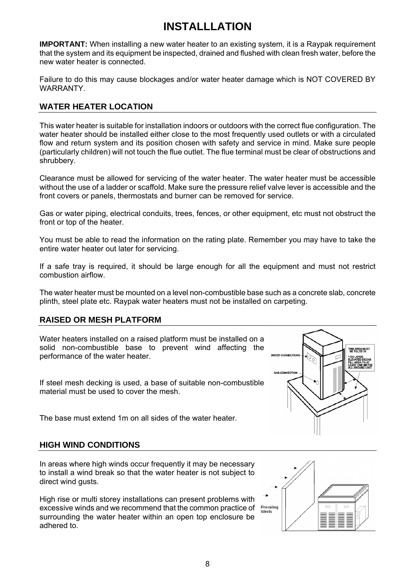**IMPORTANT:** When installing a new water heater to an existing system, it is a Raypak requirement that the system and its equipment be inspected, drained and flushed with clean fresh water, before the new water heater is connected.

Failure to do this may cause blockages and/or water heater damage which is NOT COVERED BY WARRANTY.

#### **WATER HEATER LOCATION**

This water heater is suitable for installation indoors or outdoors with the correct flue configuration. The water heater should be installed either close to the most frequently used outlets or with a circulated flow and return system and its position chosen with safety and service in mind. Make sure people (particularly children) will not touch the flue outlet. The flue terminal must be clear of obstructions and shrubbery.

Clearance must be allowed for servicing of the water heater. The water heater must be accessible without the use of a ladder or scaffold. Make sure the pressure relief valve lever is accessible and the front covers or panels, thermostats and burner can be removed for service.

Gas or water piping, electrical conduits, trees, fences, or other equipment, etc must not obstruct the front or top of the heater.

You must be able to read the information on the rating plate. Remember you may have to take the entire water heater out later for servicing.

If a safe tray is required, it should be large enough for all the equipment and must not restrict combustion airflow.

The water heater must be mounted on a level non-combustible base such as a concrete slab, concrete plinth, steel plate etc. Raypak water heaters must not be installed on carpeting.

#### **RAISED OR MESH PLATFORM**

Water heaters installed on a raised platform must be installed on a solid non-combustible base to prevent wind affecting the performance of the water heater.

If steel mesh decking is used, a base of suitable non-combustible material must be used to cover the mesh.

The base must extend 1m on all sides of the water heater.

#### **HIGH WIND CONDITIONS**

In areas where high winds occur frequently it may be necessary to install a wind break so that the water heater is not subject to direct wind gusts.

High rise or multi storey installations can present problems with excessive winds and we recommend that the common practice of Prevailing<br>Winds surrounding the water heater within an open top enclosure be adhered to.



I ≣

**WATER CONNECTION**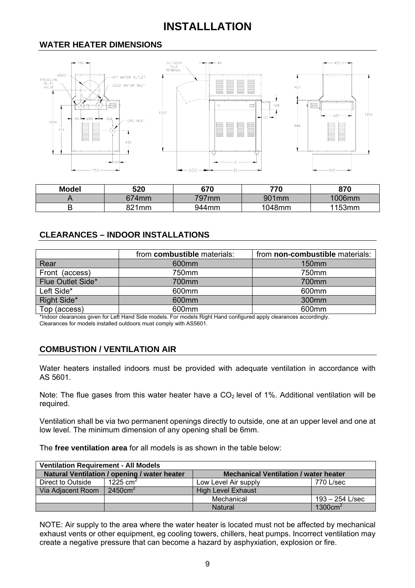#### **WATER HEATER DIMENSIONS**



| <b>Model</b> | 520   | 670      | 770    | 870    |
|--------------|-------|----------|--------|--------|
|              | 674mm | $797$ mm | 901mm  | 1006mm |
|              | 821mm | 944mm    | 1048mm | 1153mm |

#### **CLEARANCES – INDOOR INSTALLATIONS**

|                   | from combustible materials: | from non-combustible materials: |
|-------------------|-----------------------------|---------------------------------|
| Rear              | 600 <sub>mm</sub>           | 150 <sub>mm</sub>               |
| Front (access)    | 750mm                       | 750mm                           |
| Flue Outlet Side* | 700mm                       | 700mm                           |
| Left Side*        | 600 <sub>mm</sub>           | 600 <sub>mm</sub>               |
| Right Side*       | 600 <sub>mm</sub>           | 300mm                           |
| Top (access)      | 600mm                       | 600mm                           |

\*Indoor clearances given for Left Hand Side models. For models Right Hand configured apply clearances accordingly.

Clearances for models installed outdoors must comply with AS5601.

#### **COMBUSTION / VENTILATION AIR**

Water heaters installed indoors must be provided with adequate ventilation in accordance with AS 5601.

Note: The flue gases from this water heater have a  $CO<sub>2</sub>$  level of 1%. Additional ventilation will be required.

Ventilation shall be via two permanent openings directly to outside, one at an upper level and one at low level. The minimum dimension of any opening shall be 6mm.

The **free ventilation area** for all models is as shown in the table below:

| <b>Ventilation Requirement - All Models</b>                                                  |                      |                           |                     |  |  |  |
|----------------------------------------------------------------------------------------------|----------------------|---------------------------|---------------------|--|--|--|
| Natural Ventilation / opening / water heater<br><b>Mechanical Ventilation / water heater</b> |                      |                           |                     |  |  |  |
| Direct to Outside                                                                            | 1225 cm <sup>2</sup> | Low Level Air supply      | 770 L/sec           |  |  |  |
| Via Adjacent Room                                                                            | 2450cm <sup>2</sup>  | <b>High Level Exhaust</b> |                     |  |  |  |
|                                                                                              |                      | Mechanical                | 193 – 254 L/sec     |  |  |  |
|                                                                                              |                      | <b>Natural</b>            | 1300cm <sup>2</sup> |  |  |  |

NOTE: Air supply to the area where the water heater is located must not be affected by mechanical exhaust vents or other equipment, eg cooling towers, chillers, heat pumps. Incorrect ventilation may create a negative pressure that can become a hazard by asphyxiation, explosion or fire.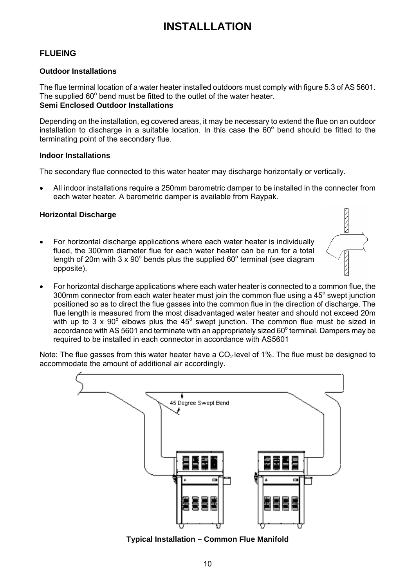#### **FLUEING**

#### **Outdoor Installations**

The flue terminal location of a water heater installed outdoors must comply with figure 5.3 of AS 5601. The supplied 60° bend must be fitted to the outlet of the water heater. **Semi Enclosed Outdoor Installations** 

Depending on the installation, eg covered areas, it may be necessary to extend the flue on an outdoor installation to discharge in a suitable location. In this case the  $60^{\circ}$  bend should be fitted to the terminating point of the secondary flue.

#### **Indoor Installations**

The secondary flue connected to this water heater may discharge horizontally or vertically.

• All indoor installations require a 250mm barometric damper to be installed in the connecter from each water heater. A barometric damper is available from Raypak.

#### **Horizontal Discharge**

- For horizontal discharge applications where each water heater is individually flued, the 300mm diameter flue for each water heater can be run for a total length of 20m with 3 x 90 $^{\circ}$  bends plus the supplied 60 $^{\circ}$  terminal (see diagram opposite).
- For horizontal discharge applications where each water heater is connected to a common flue, the 300mm connector from each water heater must join the common flue using a 45 $^{\circ}$  swept junction positioned so as to direct the flue gasses into the common flue in the direction of discharge. The flue length is measured from the most disadvantaged water heater and should not exceed 20m with up to 3 x 90 $^{\circ}$  elbows plus the 45 $^{\circ}$  swept junction. The common flue must be sized in accordance with AS 5601 and terminate with an appropriately sized 60 $^{\circ}$  terminal. Dampers may be required to be installed in each connector in accordance with AS5601

Note: The flue gasses from this water heater have a  $CO<sub>2</sub>$  level of 1%. The flue must be designed to accommodate the amount of additional air accordingly.



**Typical Installation – Common Flue Manifold**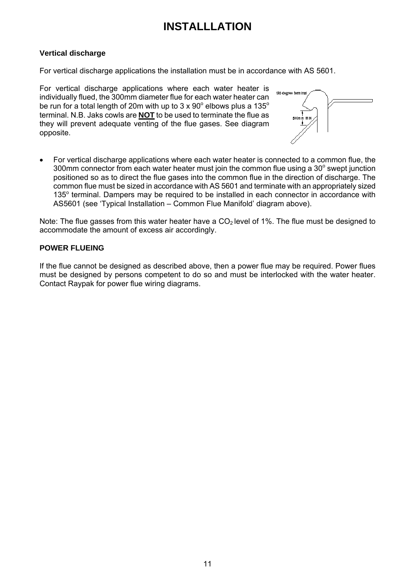#### **Vertical discharge**

For vertical discharge applications the installation must be in accordance with AS 5601.

For vertical discharge applications where each water heater is individually flued, the 300mm diameter flue for each water heater can be run for a total length of 20m with up to 3 x 90 $^{\circ}$  elbows plus a 135 $^{\circ}$ terminal. N.B. Jaks cowls are **NOT** to be used to terminate the flue as they will prevent adequate venting of the flue gases. See diagram opposite.



• For vertical discharge applications where each water heater is connected to a common flue, the 300mm connector from each water heater must join the common flue using a  $30^{\circ}$  swept junction positioned so as to direct the flue gases into the common flue in the direction of discharge. The common flue must be sized in accordance with AS 5601 and terminate with an appropriately sized 135° terminal. Dampers may be required to be installed in each connector in accordance with AS5601 (see 'Typical Installation – Common Flue Manifold' diagram above).

Note: The flue gasses from this water heater have a  $CO<sub>2</sub>$  level of 1%. The flue must be designed to accommodate the amount of excess air accordingly.

#### **POWER FLUEING**

If the flue cannot be designed as described above, then a power flue may be required. Power flues must be designed by persons competent to do so and must be interlocked with the water heater. Contact Raypak for power flue wiring diagrams.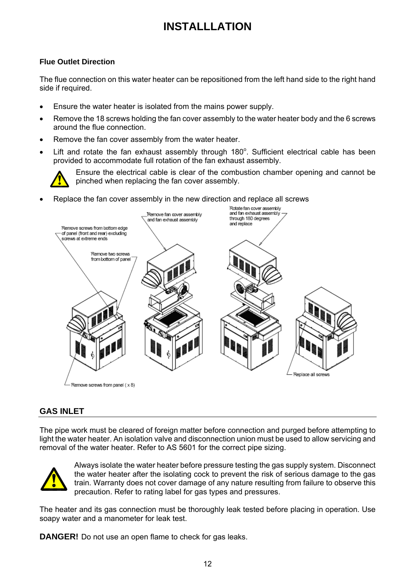#### **Flue Outlet Direction**

The flue connection on this water heater can be repositioned from the left hand side to the right hand side if required.

- Ensure the water heater is isolated from the mains power supply.
- Remove the 18 screws holding the fan cover assembly to the water heater body and the 6 screws around the flue connection.
- Remove the fan cover assembly from the water heater.
- $\bullet$  Lift and rotate the fan exhaust assembly through 180 $^{\circ}$ . Sufficient electrical cable has been provided to accommodate full rotation of the fan exhaust assembly.



Ensure the electrical cable is clear of the combustion chamber opening and cannot be pinched when replacing the fan cover assembly.

• Replace the fan cover assembly in the new direction and replace all screws



#### **GAS INLET**

The pipe work must be cleared of foreign matter before connection and purged before attempting to light the water heater. An isolation valve and disconnection union must be used to allow servicing and removal of the water heater. Refer to AS 5601 for the correct pipe sizing.



Always isolate the water heater before pressure testing the gas supply system. Disconnect the water heater after the isolating cock to prevent the risk of serious damage to the gas train. Warranty does not cover damage of any nature resulting from failure to observe this precaution. Refer to rating label for gas types and pressures.

The heater and its gas connection must be thoroughly leak tested before placing in operation. Use soapy water and a manometer for leak test.

**DANGER!** Do not use an open flame to check for gas leaks.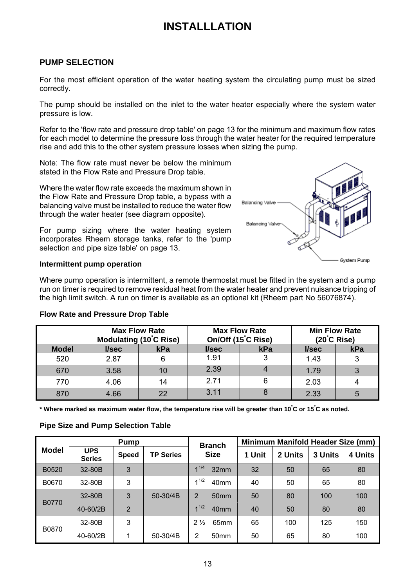#### **PUMP SELECTION**

For the most efficient operation of the water heating system the circulating pump must be sized correctly.

The pump should be installed on the inlet to the water heater especially where the system water pressure is low.

Refer to the 'flow rate and pressure drop table' on page 13 for the minimum and maximum flow rates for each model to determine the pressure loss through the water heater for the required temperature rise and add this to the other system pressure losses when sizing the pump.

Note: The flow rate must never be below the minimum stated in the Flow Rate and Pressure Drop table.

Where the water flow rate exceeds the maximum shown in the Flow Rate and Pressure Drop table, a bypass with a balancing valve must be installed to reduce the water flow through the water heater (see diagram opposite).

For pump sizing where the water heating system incorporates Rheem storage tanks, refer to the 'pump selection and pipe size table' on page 13.



#### **Intermittent pump operation**

Where pump operation is intermittent, a remote thermostat must be fitted in the system and a pump run on timer is required to remove residual heat from the water heater and prevent nuisance tripping of the high limit switch. A run on timer is available as an optional kit (Rheem part No 56076874).

#### **Flow Rate and Pressure Drop Table**

|              |       | <b>Max Flow Rate</b><br>Modulating (10°C Rise) | <b>Max Flow Rate</b><br>On/Off (15°C Rise) |                | <b>Min Flow Rate</b><br>$(20^{\circ}C \text{ Rise})$ |     |
|--------------|-------|------------------------------------------------|--------------------------------------------|----------------|------------------------------------------------------|-----|
| <b>Model</b> | l/sec | kPa                                            | l/sec                                      | kPa            | l/sec                                                | kPa |
| 520          | 2.87  | 6                                              | 1.91                                       | 3              | 1.43                                                 | 3   |
| 670          | 3.58  | 10                                             | 2.39                                       | $\overline{4}$ | 1.79                                                 | 3   |
| 770          | 4.06  | 14                                             | 2.71                                       | 6              | 2.03                                                 |     |
| 870          | 4.66  | 22                                             | 3.11                                       | 8              | 2.33                                                 | 5   |

**\* Where marked as maximum water flow, the temperature rise will be greater than 10° C or 15° C as noted.** 

#### **Pipe Size and Pump Selection Table**

|              | <b>Pump</b>                 |                | <b>Branch</b>    | Minimum Manifold Header Size (mm)  |        |         |         |         |
|--------------|-----------------------------|----------------|------------------|------------------------------------|--------|---------|---------|---------|
| <b>Model</b> | <b>UPS</b><br><b>Series</b> | <b>Speed</b>   | <b>TP Series</b> | <b>Size</b>                        | 1 Unit | 2 Units | 3 Units | 4 Units |
| B0520        | 32-80B                      | 3              |                  | 41/4<br>32mm                       | 32     | 50      | 65      | 80      |
| B0670        | 32-80B                      | 3              |                  | 41/2<br>40 <sub>mm</sub>           | 40     | 50      | 65      | 80      |
| <b>B0770</b> | 32-80B                      | 3              | 50-30/4B         | 2<br>50 <sub>mm</sub>              | 50     | 80      | 100     | 100     |
|              | 40-60/2B                    | $\overline{2}$ |                  | 41/2<br>40mm                       | 40     | 50      | 80      | 80      |
|              | 32-80B                      | 3              |                  | $2\frac{1}{2}$<br>65 <sub>mm</sub> | 65     | 100     | 125     | 150     |
| B0870        | 40-60/2B                    | 1              | 50-30/4B         | 2<br>50 <sub>mm</sub>              | 50     | 65      | 80      | 100     |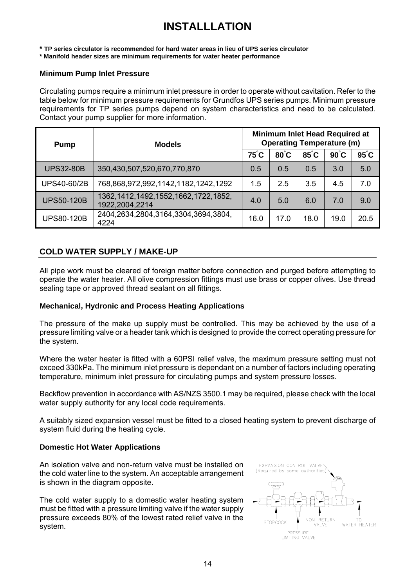**\* TP series circulator is recommended for hard water areas in lieu of UPS series circulator** 

**\* Manifold header sizes are minimum requirements for water heater performance** 

#### **Minimum Pump Inlet Pressure**

Circulating pumps require a minimum inlet pressure in order to operate without cavitation. Refer to the table below for minimum pressure requirements for Grundfos UPS series pumps. Minimum pressure requirements for TP series pumps depend on system characteristics and need to be calculated. Contact your pump supplier for more information.

| <b>Pump</b>        | <b>Models</b>                                               | <b>Minimum Inlet Head Required at</b><br><b>Operating Temperature (m)</b> |      |      |                |                |  |  |
|--------------------|-------------------------------------------------------------|---------------------------------------------------------------------------|------|------|----------------|----------------|--|--|
|                    |                                                             |                                                                           | 80°C | 85°C | $90^{\circ}$ C | $95^{\circ}$ C |  |  |
| <b>UPS32-80B</b>   | 350,430,507,520,670,770,870                                 | 0.5                                                                       | 0.5  | 0.5  | 3.0            | 5.0            |  |  |
| <b>UPS40-60/2B</b> | 768,868,972,992,1142,1182,1242,1292                         | 1.5                                                                       | 2.5  | 3.5  | 4.5            | 7.0            |  |  |
| <b>UPS50-120B</b>  | 1362, 1412, 1492, 1552, 1662, 1722, 1852,<br>1922,2004,2214 | 4.0                                                                       | 5.0  | 6.0  | 7.0            | 9.0            |  |  |
| <b>UPS80-120B</b>  | 2404,2634,2804,3164,3304,3694,3804,<br>4224                 | 16.0                                                                      | 17.0 | 18.0 | 19.0           | 20.5           |  |  |

#### **COLD WATER SUPPLY / MAKE-UP**

All pipe work must be cleared of foreign matter before connection and purged before attempting to operate the water heater. All olive compression fittings must use brass or copper olives. Use thread sealing tape or approved thread sealant on all fittings.

#### **Mechanical, Hydronic and Process Heating Applications**

The pressure of the make up supply must be controlled. This may be achieved by the use of a pressure limiting valve or a header tank which is designed to provide the correct operating pressure for the system.

Where the water heater is fitted with a 60PSI relief valve, the maximum pressure setting must not exceed 330kPa. The minimum inlet pressure is dependant on a number of factors including operating temperature, minimum inlet pressure for circulating pumps and system pressure losses.

Backflow prevention in accordance with AS/NZS 3500.1 may be required, please check with the local water supply authority for any local code requirements.

A suitably sized expansion vessel must be fitted to a closed heating system to prevent discharge of system fluid during the heating cycle.

#### **Domestic Hot Water Applications**

An isolation valve and non-return valve must be installed on the cold water line to the system. An acceptable arrangement is shown in the diagram opposite.

The cold water supply to a domestic water heating system must be fitted with a pressure limiting valve if the water supply pressure exceeds 80% of the lowest rated relief valve in the system.

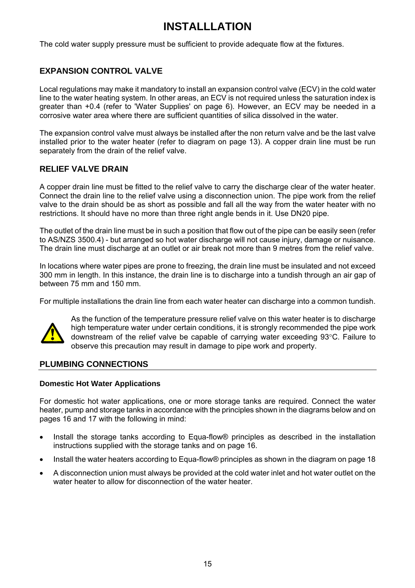The cold water supply pressure must be sufficient to provide adequate flow at the fixtures.

#### **EXPANSION CONTROL VALVE**

Local regulations may make it mandatory to install an expansion control valve (ECV) in the cold water line to the water heating system. In other areas, an ECV is not required unless the saturation index is greater than +0.4 (refer to 'Water Supplies' on page 6). However, an ECV may be needed in a corrosive water area where there are sufficient quantities of silica dissolved in the water.

The expansion control valve must always be installed after the non return valve and be the last valve installed prior to the water heater (refer to diagram on page 13). A copper drain line must be run separately from the drain of the relief valve.

#### **RELIEF VALVE DRAIN**

A copper drain line must be fitted to the relief valve to carry the discharge clear of the water heater. Connect the drain line to the relief valve using a disconnection union. The pipe work from the relief valve to the drain should be as short as possible and fall all the way from the water heater with no restrictions. It should have no more than three right angle bends in it. Use DN20 pipe.

The outlet of the drain line must be in such a position that flow out of the pipe can be easily seen (refer to AS/NZS 3500.4) - but arranged so hot water discharge will not cause injury, damage or nuisance. The drain line must discharge at an outlet or air break not more than 9 metres from the relief valve.

In locations where water pipes are prone to freezing, the drain line must be insulated and not exceed 300 mm in length. In this instance, the drain line is to discharge into a tundish through an air gap of between 75 mm and 150 mm.

For multiple installations the drain line from each water heater can discharge into a common tundish.



As the function of the temperature pressure relief valve on this water heater is to discharge high temperature water under certain conditions, it is strongly recommended the pipe work downstream of the relief valve be capable of carrying water exceeding 93°C. Failure to observe this precaution may result in damage to pipe work and property.

#### **PLUMBING CONNECTIONS**

#### **Domestic Hot Water Applications**

For domestic hot water applications, one or more storage tanks are required. Connect the water heater, pump and storage tanks in accordance with the principles shown in the diagrams below and on pages 16 and 17 with the following in mind:

- Install the storage tanks according to Equa-flow® principles as described in the installation instructions supplied with the storage tanks and on page 16.
- Install the water heaters according to Equa-flow® principles as shown in the diagram on page 18
- A disconnection union must always be provided at the cold water inlet and hot water outlet on the water heater to allow for disconnection of the water heater.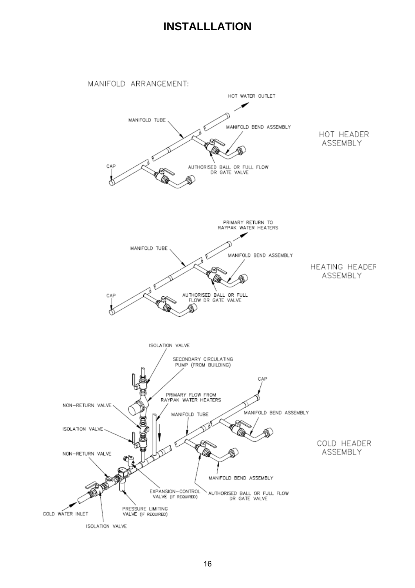

MANIFOLD ARRANGEMENT:

ISOLATION VALVE

NON-RETURN VALVE

ISOLATION VALVE

COLD WATER INLET

**ASSEMBLY** 

HOT HEADER



COLD HEADER

ASSEMBLY

16

EXPANSION-CONTROL<br>VALVE (IF REQUIRED)

PRESSURE LIMITING<br>VALVE (IF REQUIRED)

MANIFOLD BEND ASSEMBLY

AUTHORISED BALL OR FULL FLOW<br>DR GATE VALVE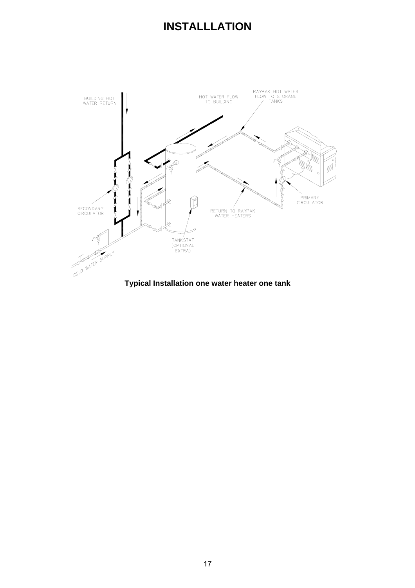

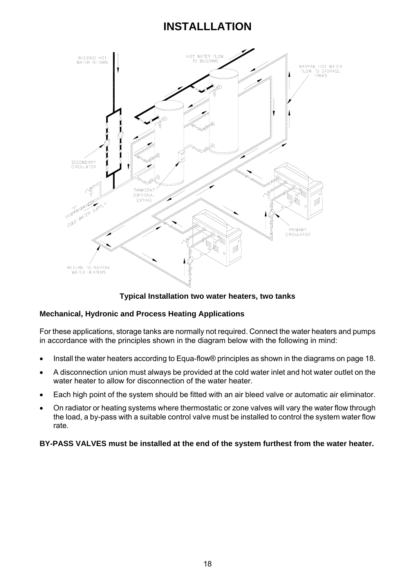

**Typical Installation two water heaters, two tanks**

#### **Mechanical, Hydronic and Process Heating Applications**

For these applications, storage tanks are normally not required. Connect the water heaters and pumps in accordance with the principles shown in the diagram below with the following in mind:

- Install the water heaters according to Equa-flow® principles as shown in the diagrams on page 18.
- A disconnection union must always be provided at the cold water inlet and hot water outlet on the water heater to allow for disconnection of the water heater.
- Each high point of the system should be fitted with an air bleed valve or automatic air eliminator.
- On radiator or heating systems where thermostatic or zone valves will vary the water flow through the load, a by-pass with a suitable control valve must be installed to control the system water flow rate.

#### **BY-PASS VALVES must be installed at the end of the system furthest from the water heater.**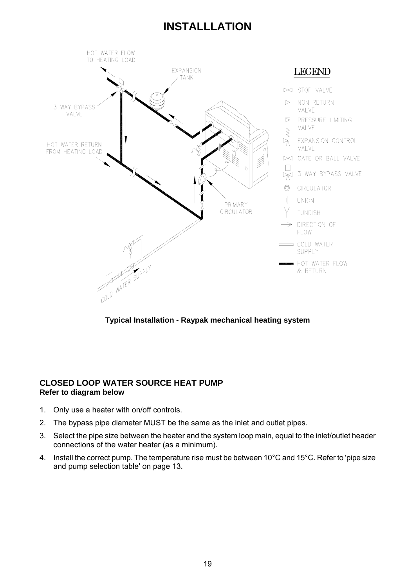

**Typical Installation - Raypak mechanical heating system**

#### **CLOSED LOOP WATER SOURCE HEAT PUMP Refer to diagram below**

- 1. Only use a heater with on/off controls.
- 2. The bypass pipe diameter MUST be the same as the inlet and outlet pipes.
- 3. Select the pipe size between the heater and the system loop main, equal to the inlet/outlet header connections of the water heater (as a minimum).
- 4. Install the correct pump. The temperature rise must be between 10°C and 15°C. Refer to 'pipe size and pump selection table' on page 13.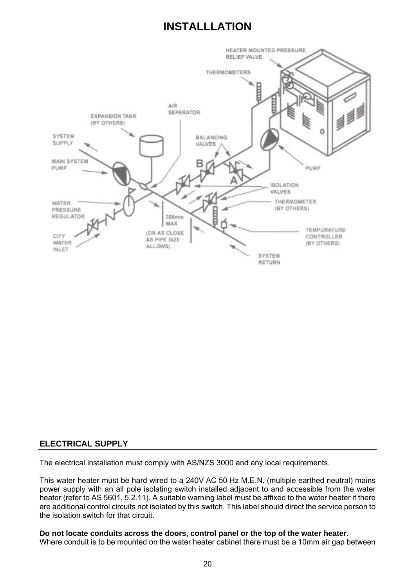

#### **ELECTRICAL SUPPLY**

The electrical installation must comply with AS/NZS 3000 and any local requirements.

This water heater must be hard wired to a 240V AC 50 Hz M.E.N. (multiple earthed neutral) mains power supply with an all pole isolating switch installed adjacent to and accessible from the water heater (refer to AS 5601, 5.2.11). A suitable warning label must be affixed to the water heater if there are additional control circuits not isolated by this switch. This label should direct the service person to the isolation switch for that circuit.

#### **Do not locate conduits across the doors, control panel or the top of the water heater.**

Where conduit is to be mounted on the water heater cabinet there must be a 10mm air gap between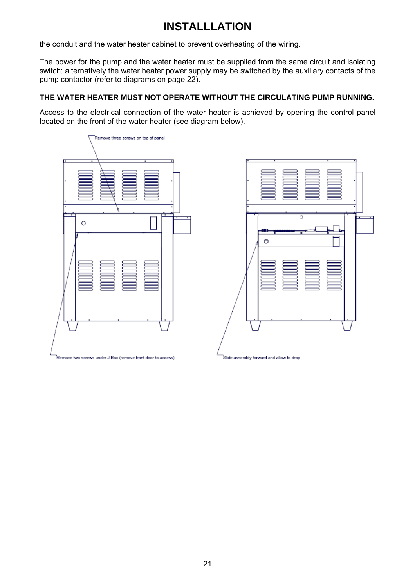the conduit and the water heater cabinet to prevent overheating of the wiring.

The power for the pump and the water heater must be supplied from the same circuit and isolating switch; alternatively the water heater power supply may be switched by the auxiliary contacts of the pump contactor (refer to diagrams on page 22).

#### **THE WATER HEATER MUST NOT OPERATE WITHOUT THE CIRCULATING PUMP RUNNING.**

Access to the electrical connection of the water heater is achieved by opening the control panel located on the front of the water heater (see diagram below).



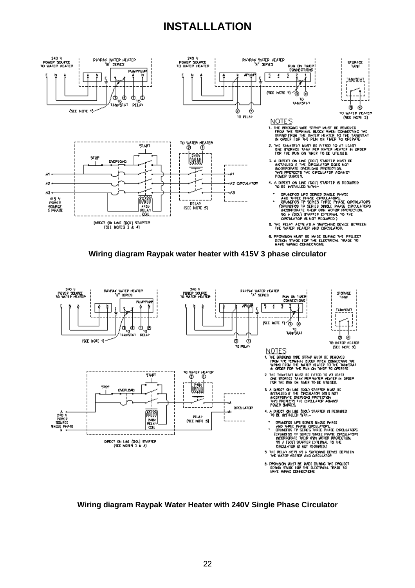





#### **Wiring diagram Raypak Water Heater with 240V Single Phase Circulator**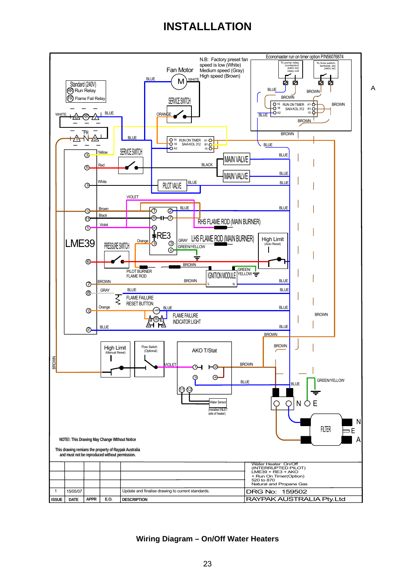

**Wiring Diagram – On/Off Water Heaters**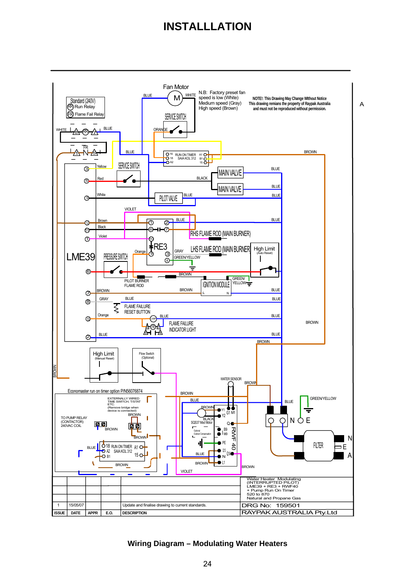

**Wiring Diagram – Modulating Water Heaters**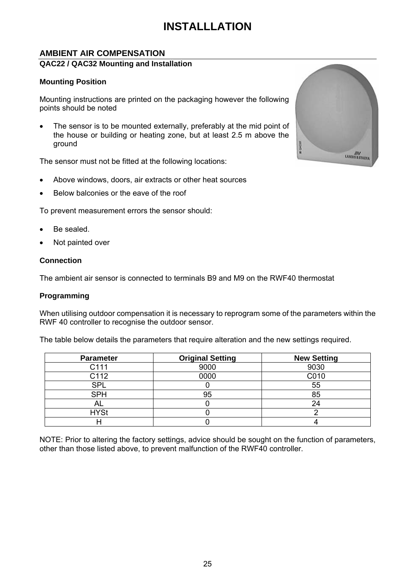#### **AMBIENT AIR COMPENSATION**

#### **QAC22 / QAC32 Mounting and Installation**

#### **Mounting Position**

Mounting instructions are printed on the packaging however the following points should be noted

The sensor is to be mounted externally, preferably at the mid point of the house or building or heating zone, but at least 2.5 m above the ground

The sensor must not be fitted at the following locations:

- Above windows, doors, air extracts or other heat sources
- Below balconies or the eave of the roof

To prevent measurement errors the sensor should:

- Be sealed.
- Not painted over

#### **Connection**

The ambient air sensor is connected to terminals B9 and M9 on the RWF40 thermostat

#### **Programming**

When utilising outdoor compensation it is necessary to reprogram some of the parameters within the RWF 40 controller to recognise the outdoor sensor.

The table below details the parameters that require alteration and the new settings required.

| <b>Parameter</b> | <b>Original Setting</b> | <b>New Setting</b> |
|------------------|-------------------------|--------------------|
| C <sub>111</sub> | 9000                    | 9030               |
| C112             | 0000                    | C010               |
| <b>SPL</b>       |                         | 55                 |
| <b>SPH</b>       | 95                      | 85                 |
| AL.              |                         | 24                 |
| <b>HYSt</b>      |                         |                    |
|                  |                         |                    |

NOTE: Prior to altering the factory settings, advice should be sought on the function of parameters, other than those listed above, to prevent malfunction of the RWF40 controller.

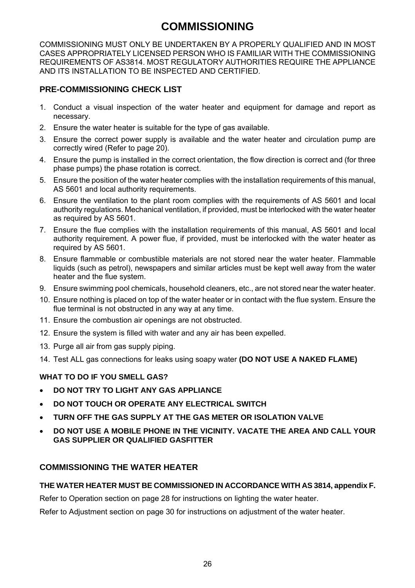# **COMMISSIONING**

COMMISSIONING MUST ONLY BE UNDERTAKEN BY A PROPERLY QUALIFIED AND IN MOST CASES APPROPRIATELY LICENSED PERSON WHO IS FAMILIAR WITH THE COMMISSIONING REQUIREMENTS OF AS3814. MOST REGULATORY AUTHORITIES REQUIRE THE APPLIANCE AND ITS INSTALLATION TO BE INSPECTED AND CERTIFIED.

#### **PRE-COMMISSIONING CHECK LIST**

- 1. Conduct a visual inspection of the water heater and equipment for damage and report as necessary.
- 2. Ensure the water heater is suitable for the type of gas available.
- 3. Ensure the correct power supply is available and the water heater and circulation pump are correctly wired (Refer to page 20).
- 4. Ensure the pump is installed in the correct orientation, the flow direction is correct and (for three phase pumps) the phase rotation is correct.
- 5. Ensure the position of the water heater complies with the installation requirements of this manual, AS 5601 and local authority requirements.
- 6. Ensure the ventilation to the plant room complies with the requirements of AS 5601 and local authority regulations. Mechanical ventilation, if provided, must be interlocked with the water heater as required by AS 5601.
- 7. Ensure the flue complies with the installation requirements of this manual, AS 5601 and local authority requirement. A power flue, if provided, must be interlocked with the water heater as required by AS 5601.
- 8. Ensure flammable or combustible materials are not stored near the water heater. Flammable liquids (such as petrol), newspapers and similar articles must be kept well away from the water heater and the flue system.
- 9. Ensure swimming pool chemicals, household cleaners, etc., are not stored near the water heater.
- 10. Ensure nothing is placed on top of the water heater or in contact with the flue system. Ensure the flue terminal is not obstructed in any way at any time.
- 11. Ensure the combustion air openings are not obstructed.
- 12. Ensure the system is filled with water and any air has been expelled.
- 13. Purge all air from gas supply piping.
- 14. Test ALL gas connections for leaks using soapy water **(DO NOT USE A NAKED FLAME)**

#### **WHAT TO DO IF YOU SMELL GAS?**

- **DO NOT TRY TO LIGHT ANY GAS APPLIANCE**
- **DO NOT TOUCH OR OPERATE ANY ELECTRICAL SWITCH**
- **TURN OFF THE GAS SUPPLY AT THE GAS METER OR ISOLATION VALVE**
- **DO NOT USE A MOBILE PHONE IN THE VICINITY. VACATE THE AREA AND CALL YOUR GAS SUPPLIER OR QUALIFIED GASFITTER**

#### **COMMISSIONING THE WATER HEATER**

#### **THE WATER HEATER MUST BE COMMISSIONED IN ACCORDANCE WITH AS 3814, appendix F.**

Refer to Operation section on page 28 for instructions on lighting the water heater.

Refer to Adjustment section on page 30 for instructions on adjustment of the water heater.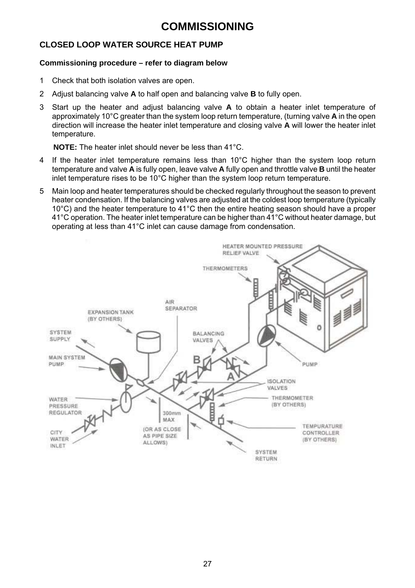### **COMMISSIONING**

#### **CLOSED LOOP WATER SOURCE HEAT PUMP**

#### **Commissioning procedure – refer to diagram below**

- 1 Check that both isolation valves are open.
- 2 Adjust balancing valve **A** to half open and balancing valve **B** to fully open.
- 3 Start up the heater and adjust balancing valve **A** to obtain a heater inlet temperature of approximately 10°C greater than the system loop return temperature, (turning valve **A** in the open direction will increase the heater inlet temperature and closing valve **A** will lower the heater inlet temperature.

**NOTE:** The heater inlet should never be less than 41°C.

- 4 If the heater inlet temperature remains less than 10°C higher than the system loop return temperature and valve **A** is fully open, leave valve **A** fully open and throttle valve **B** until the heater inlet temperature rises to be 10°C higher than the system loop return temperature.
- 5 Main loop and heater temperatures should be checked regularly throughout the season to prevent heater condensation. If the balancing valves are adjusted at the coldest loop temperature (typically 10°C) and the heater temperature to 41°C then the entire heating season should have a proper 41°C operation. The heater inlet temperature can be higher than 41°C without heater damage, but operating at less than 41°C inlet can cause damage from condensation.

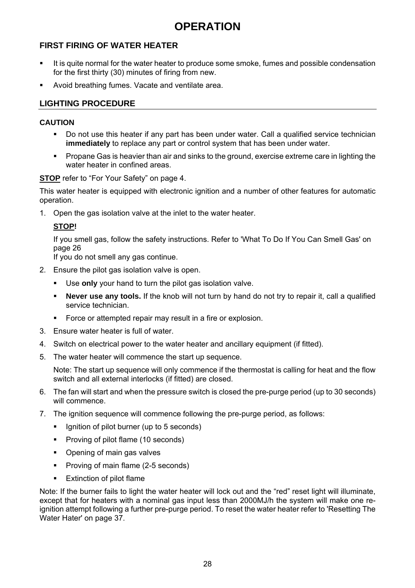# **OPERATION**

#### **FIRST FIRING OF WATER HEATER**

- It is quite normal for the water heater to produce some smoke, fumes and possible condensation for the first thirty (30) minutes of firing from new.
- Avoid breathing fumes. Vacate and ventilate area.

#### **LIGHTING PROCEDURE**

#### **CAUTION**

- Do not use this heater if any part has been under water. Call a qualified service technician **immediately** to replace any part or control system that has been under water.
- **Propane Gas is heavier than air and sinks to the ground, exercise extreme care in lighting the** water heater in confined areas.

#### **STOP** refer to "For Your Safety" on page 4.

This water heater is equipped with electronic ignition and a number of other features for automatic operation.

1. Open the gas isolation valve at the inlet to the water heater.

#### **STOP!**

If you smell gas, follow the safety instructions. Refer to 'What To Do If You Can Smell Gas' on page 26

If you do not smell any gas continue.

- 2. Ensure the pilot gas isolation valve is open.
	- Use **only** your hand to turn the pilot gas isolation valve.
	- **Never use any tools.** If the knob will not turn by hand do not try to repair it, call a qualified service technician.
	- Force or attempted repair may result in a fire or explosion.
- 3. Ensure water heater is full of water.
- 4. Switch on electrical power to the water heater and ancillary equipment (if fitted).
- 5. The water heater will commence the start up sequence.

Note: The start up sequence will only commence if the thermostat is calling for heat and the flow switch and all external interlocks (if fitted) are closed.

- 6. The fan will start and when the pressure switch is closed the pre-purge period (up to 30 seconds) will commence.
- 7. The ignition sequence will commence following the pre-purge period, as follows:
	- **If** Ignition of pilot burner (up to 5 seconds)
	- Proving of pilot flame (10 seconds)
	- Opening of main gas valves
	- Proving of main flame (2-5 seconds)
	- Extinction of pilot flame

Note: If the burner fails to light the water heater will lock out and the "red" reset light will illuminate, except that for heaters with a nominal gas input less than 2000MJ/h the system will make one reignition attempt following a further pre-purge period. To reset the water heater refer to 'Resetting The Water Hater' on page 37.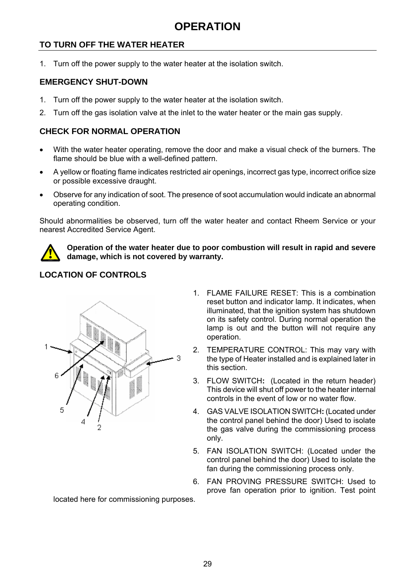# **OPERATION**

#### **TO TURN OFF THE WATER HEATER**

1. Turn off the power supply to the water heater at the isolation switch.

#### **EMERGENCY SHUT-DOWN**

- 1. Turn off the power supply to the water heater at the isolation switch.
- 2. Turn off the gas isolation valve at the inlet to the water heater or the main gas supply.

#### **CHECK FOR NORMAL OPERATION**

- With the water heater operating, remove the door and make a visual check of the burners. The flame should be blue with a well-defined pattern.
- A yellow or floating flame indicates restricted air openings, incorrect gas type, incorrect orifice size or possible excessive draught.
- Observe for any indication of soot. The presence of soot accumulation would indicate an abnormal operating condition.

Should abnormalities be observed, turn off the water heater and contact Rheem Service or your nearest Accredited Service Agent.



**Operation of the water heater due to poor combustion will result in rapid and severe damage, which is not covered by warranty.** 

#### **LOCATION OF CONTROLS**



- 1. FLAME FAILURE RESET: This is a combination reset button and indicator lamp. It indicates, when illuminated, that the ignition system has shutdown on its safety control. During normal operation the lamp is out and the button will not require any operation.
- 2. TEMPERATURE CONTROL: This may vary with the type of Heater installed and is explained later in this section.
- 3. FLOW SWITCH**:** (Located in the return header) This device will shut off power to the heater internal controls in the event of low or no water flow.
- 4. GAS VALVE ISOLATION SWITCH**:** (Located under the control panel behind the door) Used to isolate the gas valve during the commissioning process only.
- 5. FAN ISOLATION SWITCH: (Located under the control panel behind the door) Used to isolate the fan during the commissioning process only.
- 6. FAN PROVING PRESSURE SWITCH: Used to prove fan operation prior to ignition. Test point

located here for commissioning purposes.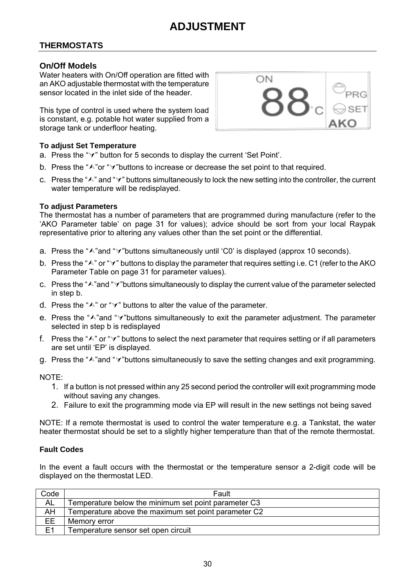#### **THERMOSTATS**

#### **On/Off Models**

Water heaters with On/Off operation are fitted with an AKO adjustable thermostat with the temperature sensor located in the inlet side of the header

This type of control is used where the system load is constant, e.g. potable hot water supplied from a storage tank or underfloor heating.

#### **To adjust Set Temperature**

- a. Press the " $\forall$ " button for 5 seconds to display the current 'Set Point'.
- b. Press the " $\wedge$ "or " $\vee$ "buttons to increase or decrease the set point to that required.
- c. Press the " $\wedge$ " and " $\vee$ " buttons simultaneously to lock the new setting into the controller, the current water temperature will be redisplayed.

#### **To adjust Parameters**

The thermostat has a number of parameters that are programmed during manufacture (refer to the 'AKO Parameter table' on page 31 for values); advice should be sort from your local Raypak representative prior to altering any values other than the set point or the differential.

- a. Press the "A"and " $\forall$ "buttons simultaneously until 'C0' is displayed (approx 10 seconds).
- b. Press the " $\wedge$ " or " $\vee$ " buttons to display the parameter that requires setting i.e. C1 (refer to the AKO Parameter Table on page 31 for parameter values).
- c. Press the " $\wedge$ "and " $\vee$ "buttons simultaneously to display the current value of the parameter selected in step b.
- d. Press the " $\wedge$ " or " $\vee$ " buttons to alter the value of the parameter.
- e. Press the " $\lambda$ " and " $\lambda$ " buttons simultaneously to exit the parameter adjustment. The parameter selected in step b is redisplayed
- f. Press the " $\wedge$ " or " $\vee$ " buttons to select the next parameter that requires setting or if all parameters are set until 'EP' is displayed.
- g. Press the " $\wedge$ "and " $\vee$ "buttons simultaneously to save the setting changes and exit programming.

NOTE:

- 1. If a button is not pressed within any 25 second period the controller will exit programming mode without saving any changes.
- 2. Failure to exit the programming mode via EP will result in the new settings not being saved

NOTE: If a remote thermostat is used to control the water temperature e.g. a Tankstat, the water heater thermostat should be set to a slightly higher temperature than that of the remote thermostat.

#### **Fault Codes**

In the event a fault occurs with the thermostat or the temperature sensor a 2-digit code will be displayed on the thermostat LED.

| Code           | Fault                                                |
|----------------|------------------------------------------------------|
| <b>AL</b>      | Temperature below the minimum set point parameter C3 |
| AH             | Temperature above the maximum set point parameter C2 |
| ЕE             | Memory error                                         |
| E <sub>1</sub> | Temperature sensor set open circuit                  |

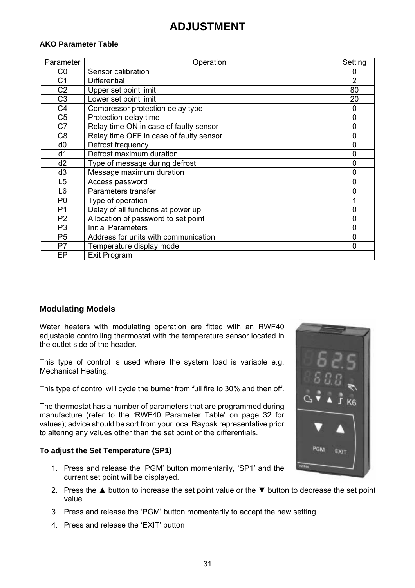#### **AKO Parameter Table**

| Parameter      | Operation                               | Setting        |
|----------------|-----------------------------------------|----------------|
| C <sub>0</sub> | Sensor calibration                      | 0              |
| C <sub>1</sub> | <b>Differential</b>                     | $\overline{2}$ |
| C <sub>2</sub> | Upper set point limit                   | 80             |
| C <sub>3</sub> | Lower set point limit                   | 20             |
| C <sub>4</sub> | Compressor protection delay type        | 0              |
| C <sub>5</sub> | Protection delay time                   | 0              |
| C7             | Relay time ON in case of faulty sensor  | 0              |
| C <sub>8</sub> | Relay time OFF in case of faulty sensor | 0              |
| d <sub>0</sub> | Defrost frequency                       | 0              |
| d1             | Defrost maximum duration                | 0              |
| d2             | Type of message during defrost          | 0              |
| d <sub>3</sub> | Message maximum duration                | 0              |
| L <sub>5</sub> | Access password                         | 0              |
| L <sub>6</sub> | Parameters transfer                     | 0              |
| P <sub>0</sub> | Type of operation                       | 1              |
| P <sub>1</sub> | Delay of all functions at power up      | 0              |
| P <sub>2</sub> | Allocation of password to set point     | 0              |
| P <sub>3</sub> | <b>Initial Parameters</b>               | $\overline{0}$ |
| P <sub>5</sub> | Address for units with communication    | 0              |
| P7             | Temperature display mode                | 0              |
| EP             | Exit Program                            |                |

#### **Modulating Models**

Water heaters with modulating operation are fitted with an RWF40 adjustable controlling thermostat with the temperature sensor located in the outlet side of the header.

This type of control is used where the system load is variable e.g. Mechanical Heating.

This type of control will cycle the burner from full fire to 30% and then off.

The thermostat has a number of parameters that are programmed during manufacture (refer to the 'RWF40 Parameter Table' on page 32 for values); advice should be sort from your local Raypak representative prior to altering any values other than the set point or the differentials.

#### **To adjust the Set Temperature (SP1)**

- 1. Press and release the 'PGM' button momentarily, 'SP1' and the current set point will be displayed.
- 2. Press the  $\blacktriangle$  button to increase the set point value or the  $\nabla$  button to decrease the set point value.
- 3. Press and release the 'PGM' button momentarily to accept the new setting
- 4. Press and release the 'EXIT' button

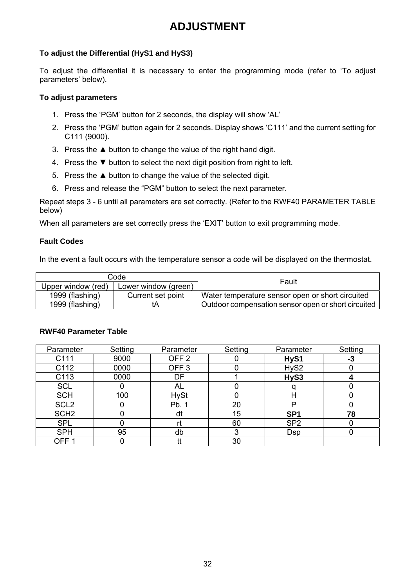#### **To adjust the Differential (HyS1 and HyS3)**

To adjust the differential it is necessary to enter the programming mode (refer to 'To adjust parameters' below).

#### **To adjust parameters**

- 1. Press the 'PGM' button for 2 seconds, the display will show 'AL'
- 2. Press the 'PGM' button again for 2 seconds. Display shows 'C111' and the current setting for C111 (9000).
- 3. Press the ▲ button to change the value of the right hand digit.
- 4. Press the ▼ button to select the next digit position from right to left.
- 5. Press the ▲ button to change the value of the selected digit.
- 6. Press and release the "PGM" button to select the next parameter.

Repeat steps 3 - 6 until all parameters are set correctly. (Refer to the RWF40 PARAMETER TABLE below)

When all parameters are set correctly press the 'EXIT' button to exit programming mode.

#### **Fault Codes**

In the event a fault occurs with the temperature sensor a code will be displayed on the thermostat.

|                                            | Code              | Fault                                               |  |
|--------------------------------------------|-------------------|-----------------------------------------------------|--|
| Upper window (red)<br>Lower window (green) |                   |                                                     |  |
| 1999 (flashing)                            | Current set point | Water temperature sensor open or short circuited    |  |
| 1999 (flashing)                            | tΑ                | Outdoor compensation sensor open or short circuited |  |

| Parameter        | Setting | Parameter        | Setting | Parameter       | Setting |
|------------------|---------|------------------|---------|-----------------|---------|
|                  |         |                  |         |                 |         |
| C111             | 9000    | OFF <sub>2</sub> |         | HyS1            | -3      |
| C112             | 0000    | OFF <sub>3</sub> |         | HyS2            |         |
| C113             | 0000    | DF               |         | HyS3            |         |
| <b>SCL</b>       |         | AL               |         |                 |         |
| <b>SCH</b>       | 100     | <b>HySt</b>      |         | н               |         |
| SCL <sub>2</sub> |         | Pb. 1            | 20      | D               |         |
| SCH <sub>2</sub> |         | dt               | 15      | SP <sub>1</sub> | 78      |
| <b>SPL</b>       |         | rt               | 60      | SP <sub>2</sub> |         |
| <b>SPH</b>       | 95      | db               | 3       | Dsp             |         |
| OFF <sup>-</sup> |         | tt               | 30      |                 |         |

#### **RWF40 Parameter Table**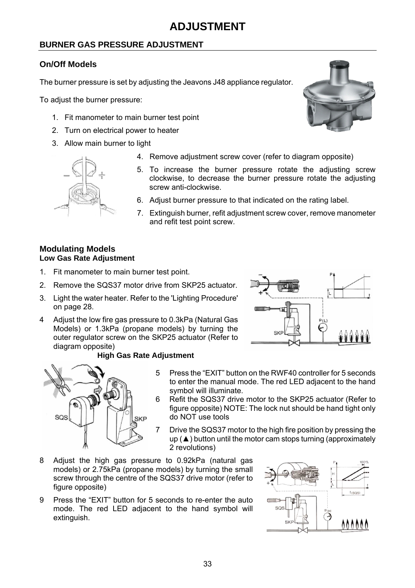#### **BURNER GAS PRESSURE ADJUSTMENT**

#### **On/Off Models**

The burner pressure is set by adjusting the Jeavons J48 appliance regulator.

To adjust the burner pressure:

- 1. Fit manometer to main burner test point
- 2. Turn on electrical power to heater
- 3. Allow main burner to light



- 4. Remove adjustment screw cover (refer to diagram opposite)
- 5. To increase the burner pressure rotate the adjusting screw clockwise, to decrease the burner pressure rotate the adjusting screw anti-clockwise.
- 6. Adjust burner pressure to that indicated on the rating label.
- 7. Extinguish burner, refit adjustment screw cover, remove manometer and refit test point screw.

#### **Modulating Models Low Gas Rate Adjustment**

- 1. Fit manometer to main burner test point.
- 2. Remove the SQS37 motor drive from SKP25 actuator.
- 3. Light the water heater. Refer to the 'Lighting Procedure' on page 28.
- 4 Adjust the low fire gas pressure to 0.3kPa (Natural Gas Models) or 1.3kPa (propane models) by turning the outer regulator screw on the SKP25 actuator (Refer to diagram opposite)



#### **High Gas Rate Adjustment**



- 5 Press the "EXIT" button on the RWF40 controller for 5 seconds to enter the manual mode. The red LED adjacent to the hand symbol will illuminate.
- 6 Refit the SQS37 drive motor to the SKP25 actuator (Refer to figure opposite) NOTE: The lock nut should be hand tight only do NOT use tools
- 7 Drive the SQS37 motor to the high fire position by pressing the  $up$  ( $\triangle$ ) button until the motor cam stops turning (approximately 2 revolutions)
- 8 Adjust the high gas pressure to 0.92kPa (natural gas models) or 2.75kPa (propane models) by turning the small screw through the centre of the SQS37 drive motor (refer to figure opposite)
- 9 Press the "EXIT" button for 5 seconds to re-enter the auto mode. The red LED adjacent to the hand symbol will extinguish.



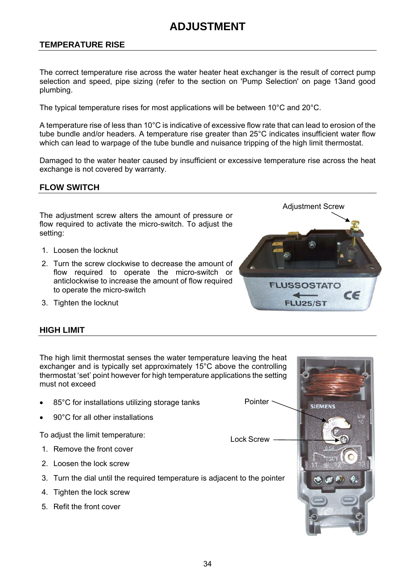#### **TEMPERATURE RISE**

The correct temperature rise across the water heater heat exchanger is the result of correct pump selection and speed, pipe sizing (refer to the section on 'Pump Selection' on page 13and good plumbing.

The typical temperature rises for most applications will be between 10°C and 20°C.

A temperature rise of less than 10°C is indicative of excessive flow rate that can lead to erosion of the tube bundle and/or headers. A temperature rise greater than 25°C indicates insufficient water flow which can lead to warpage of the tube bundle and nuisance tripping of the high limit thermostat.

Damaged to the water heater caused by insufficient or excessive temperature rise across the heat exchange is not covered by warranty.

#### **FLOW SWITCH**

The adjustment screw alters the amount of pressure or flow required to activate the micro-switch. To adjust the setting:

- 1. Loosen the locknut
- 2. Turn the screw clockwise to decrease the amount of flow required to operate the micro-switch or anticlockwise to increase the amount of flow required to operate the micro-switch
- 3. Tighten the locknut

#### **HIGH LIMIT**

The high limit thermostat senses the water temperature leaving the heat exchanger and is typically set approximately 15°C above the controlling thermostat 'set' point however for high temperature applications the setting must not exceed

85°C for installations utilizing storage tanks

Pointer ·

Lock Screw

90°C for all other installations

To adjust the limit temperature:

- 1. Remove the front cover
- 2. Loosen the lock screw
- 3. Turn the dial until the required temperature is adjacent to the pointer
- 4. Tighten the lock screw
- 5. Refit the front cover



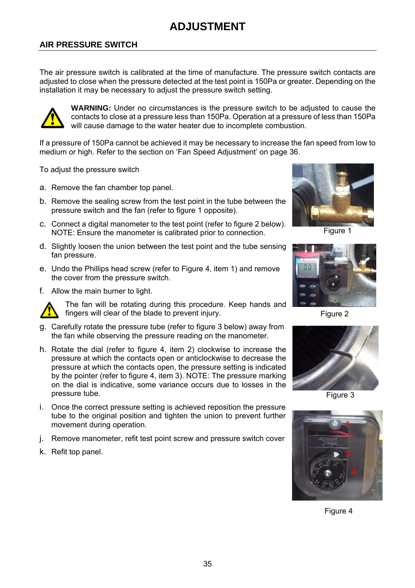#### **AIR PRESSURE SWITCH**

The air pressure switch is calibrated at the time of manufacture. The pressure switch contacts are adjusted to close when the pressure detected at the test point is 150Pa or greater. Depending on the installation it may be necessary to adjust the pressure switch setting.



**WARNING:** Under no circumstances is the pressure switch to be adjusted to cause the contacts to close at a pressure less than 150Pa. Operation at a pressure of less than 150Pa will cause damage to the water heater due to incomplete combustion.

If a pressure of 150Pa cannot be achieved it may be necessary to increase the fan speed from low to medium or high. Refer to the section on 'Fan Speed Adjustment' on page 36.

To adjust the pressure switch

- a. Remove the fan chamber top panel.
- b. Remove the sealing screw from the test point in the tube between the pressure switch and the fan (refer to figure 1 opposite).
- c. Connect a digital manometer to the test point (refer to figure 2 below). NOTE: Ensure the manometer is calibrated prior to connection.
- d. Slightly loosen the union between the test point and the tube sensing fan pressure.
- e. Undo the Phillips head screw (refer to Figure 4, item 1) and remove the cover from the pressure switch.
- f. Allow the main burner to light.



The fan will be rotating during this procedure. Keep hands and fingers will clear of the blade to prevent injury.

- g. Carefully rotate the pressure tube (refer to figure 3 below) away from the fan while observing the pressure reading on the manometer.
- h. Rotate the dial (refer to figure 4, item 2) clockwise to increase the pressure at which the contacts open or anticlockwise to decrease the pressure at which the contacts open, the pressure setting is indicated by the pointer (refer to figure 4, item 3). NOTE: The pressure marking on the dial is indicative, some variance occurs due to losses in the pressure tube.
- i. Once the correct pressure setting is achieved reposition the pressure tube to the original position and tighten the union to prevent further movement during operation.
- j. Remove manometer, refit test point screw and pressure switch cover
- k. Refit top panel.



Figure 1



Figure 2



Figure 3



Figure 4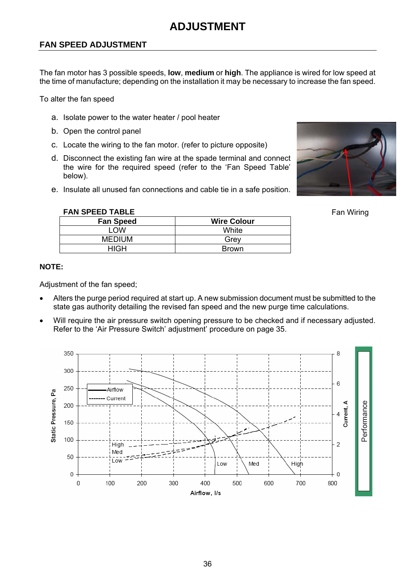#### **FAN SPEED ADJUSTMENT**

The fan motor has 3 possible speeds, **low**, **medium** or **high**. The appliance is wired for low speed at the time of manufacture; depending on the installation it may be necessary to increase the fan speed.

To alter the fan speed

- a. Isolate power to the water heater / pool heater
- b. Open the control panel

**FAN SPEED TABLE** 

- c. Locate the wiring to the fan motor. (refer to picture opposite)
- d. Disconnect the existing fan wire at the spade terminal and connect the wire for the required speed (refer to the 'Fan Speed Table' below).
- e. Insulate all unused fan connections and cable tie in a safe position.



Fan Wiring

| <b>Fan Speed</b> | <b>Wire Colour</b> |
|------------------|--------------------|
| . OW             | White              |
| <b>MEDIUM</b>    | Grev               |
| HIGH             | <b>Brown</b>       |

#### **NOTE:**

Adjustment of the fan speed;

- Alters the purge period required at start up. A new submission document must be submitted to the state gas authority detailing the revised fan speed and the new purge time calculations.
- Will require the air pressure switch opening pressure to be checked and if necessary adjusted. Refer to the 'Air Pressure Switch' adjustment' procedure on page 35.

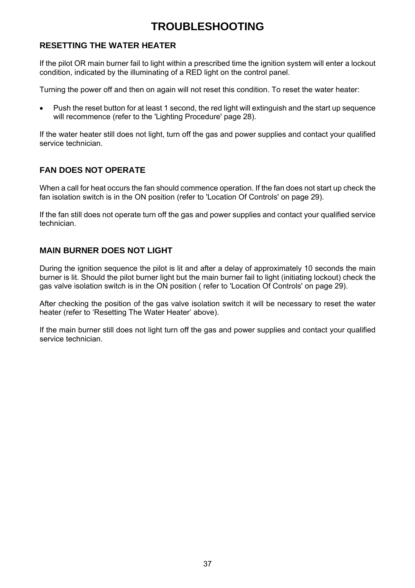### **TROUBLESHOOTING**

#### **RESETTING THE WATER HEATER**

If the pilot OR main burner fail to light within a prescribed time the ignition system will enter a lockout condition, indicated by the illuminating of a RED light on the control panel.

Turning the power off and then on again will not reset this condition. To reset the water heater:

• Push the reset button for at least 1 second, the red light will extinguish and the start up sequence will recommence (refer to the 'Lighting Procedure' page 28).

If the water heater still does not light, turn off the gas and power supplies and contact your qualified service technician.

#### **FAN DOES NOT OPERATE**

When a call for heat occurs the fan should commence operation. If the fan does not start up check the fan isolation switch is in the ON position (refer to 'Location Of Controls' on page 29).

If the fan still does not operate turn off the gas and power supplies and contact your qualified service technician.

#### **MAIN BURNER DOES NOT LIGHT**

During the ignition sequence the pilot is lit and after a delay of approximately 10 seconds the main burner is lit. Should the pilot burner light but the main burner fail to light (initiating lockout) check the gas valve isolation switch is in the ON position ( refer to 'Location Of Controls' on page 29).

After checking the position of the gas valve isolation switch it will be necessary to reset the water heater (refer to 'Resetting The Water Heater' above).

If the main burner still does not light turn off the gas and power supplies and contact your qualified service technician.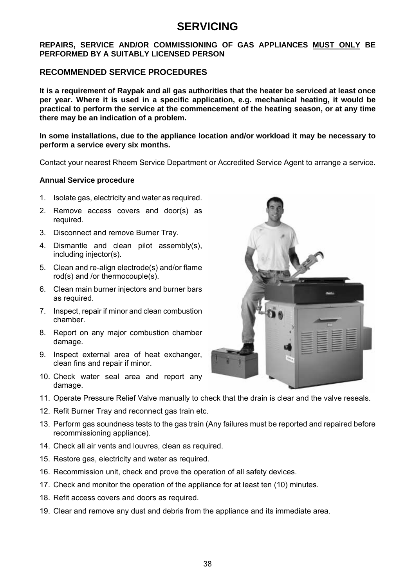### **SERVICING**

#### **REPAIRS, SERVICE AND/OR COMMISSIONING OF GAS APPLIANCES MUST ONLY BE PERFORMED BY A SUITABLY LICENSED PERSON**

#### **RECOMMENDED SERVICE PROCEDURES**

**It is a requirement of Raypak and all gas authorities that the heater be serviced at least once per year. Where it is used in a specific application, e.g. mechanical heating, it would be practical to perform the service at the commencement of the heating season, or at any time there may be an indication of a problem.** 

#### **In some installations, due to the appliance location and/or workload it may be necessary to perform a service every six months.**

Contact your nearest Rheem Service Department or Accredited Service Agent to arrange a service.

#### **Annual Service procedure**

- 1. Isolate gas, electricity and water as required.
- 2. Remove access covers and door(s) as required.
- 3. Disconnect and remove Burner Tray.
- 4. Dismantle and clean pilot assembly(s), including injector(s).
- 5. Clean and re-align electrode(s) and/or flame rod(s) and /or thermocouple(s).
- 6. Clean main burner injectors and burner bars as required.
- 7. Inspect, repair if minor and clean combustion chamber.
- 8. Report on any major combustion chamber damage.
- 9. Inspect external area of heat exchanger, clean fins and repair if minor.
- 10. Check water seal area and report any damage.
- 11. Operate Pressure Relief Valve manually to check that the drain is clear and the valve reseals.
- 12. Refit Burner Tray and reconnect gas train etc.
- 13. Perform gas soundness tests to the gas train (Any failures must be reported and repaired before recommissioning appliance).
- 14. Check all air vents and louvres, clean as required.
- 15. Restore gas, electricity and water as required.
- 16. Recommission unit, check and prove the operation of all safety devices.
- 17. Check and monitor the operation of the appliance for at least ten (10) minutes.
- 18. Refit access covers and doors as required.
- 19. Clear and remove any dust and debris from the appliance and its immediate area.

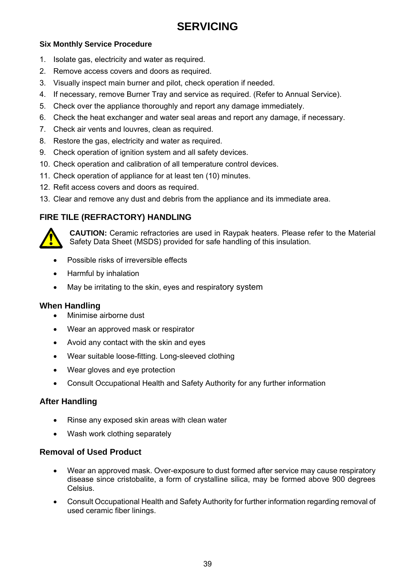### **SERVICING**

#### **Six Monthly Service Procedure**

- 1. Isolate gas, electricity and water as required.
- 2. Remove access covers and doors as required.
- 3. Visually inspect main burner and pilot, check operation if needed.
- 4. If necessary, remove Burner Tray and service as required. (Refer to Annual Service).
- 5. Check over the appliance thoroughly and report any damage immediately.
- 6. Check the heat exchanger and water seal areas and report any damage, if necessary.
- 7. Check air vents and louvres, clean as required.
- 8. Restore the gas, electricity and water as required.
- 9. Check operation of ignition system and all safety devices.
- 10. Check operation and calibration of all temperature control devices.
- 11. Check operation of appliance for at least ten (10) minutes.
- 12. Refit access covers and doors as required.
- 13. Clear and remove any dust and debris from the appliance and its immediate area.

### **FIRE TILE (REFRACTORY) HANDLING**



**CAUTION:** Ceramic refractories are used in Raypak heaters. Please refer to the Material Safety Data Sheet (MSDS) provided for safe handling of this insulation.

- Possible risks of irreversible effects
- Harmful by inhalation
- May be irritating to the skin, eyes and respiratory system

#### **When Handling**

- Minimise airborne dust
- Wear an approved mask or respirator
- Avoid any contact with the skin and eyes
- Wear suitable loose-fitting. Long-sleeved clothing
- Wear gloves and eye protection
- Consult Occupational Health and Safety Authority for any further information

### **After Handling**

- Rinse any exposed skin areas with clean water
- Wash work clothing separately

#### **Removal of Used Product**

- Wear an approved mask. Over-exposure to dust formed after service may cause respiratory disease since cristobalite, a form of crystalline silica, may be formed above 900 degrees Celsius.
- Consult Occupational Health and Safety Authority for further information regarding removal of used ceramic fiber linings.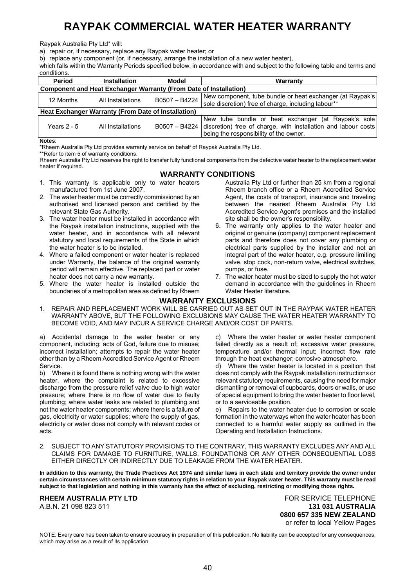### **RAYPAK COMMERCIAL WATER HEATER WARRANTY**

Raypak Australia Pty Ltd\* will:

a) repair or, if necessary, replace any Raypak water heater; or

b) replace any component (or, if necessary, arrange the installation of a new water heater),

which falls within the Warranty Periods specified below, in accordance with and subject to the following table and terms and conditions.

| Period                                                                   | <b>Installation</b> | Model         | Warranty                                                                                                                                                                         |
|--------------------------------------------------------------------------|---------------------|---------------|----------------------------------------------------------------------------------------------------------------------------------------------------------------------------------|
| <b>Component and Heat Exchanger Warranty (From Date of Installation)</b> |                     |               |                                                                                                                                                                                  |
| 12 Months                                                                | All Installations   | B0507 - B4224 | New component, tube bundle or heat exchanger (at Raypak's)<br>sole discretion) free of charge, including labour**                                                                |
| Heat Exchanger Warranty (From Date of Installation)                      |                     |               |                                                                                                                                                                                  |
| Years 2 - 5                                                              | All Installations   |               | New tube bundle or heat exchanger (at Raypak's sole)<br>B0507 - B4224   discretion) free of charge, with installation and labour costs<br>being the responsibility of the owner. |

**Notes**:

\*Rheem Australia Pty Ltd provides warranty service on behalf of Raypak Australia Pty Ltd.

\*\*Refer to item 5 of warranty conditions.

Rheem Australia Pty Ltd reserves the right to transfer fully functional components from the defective water heater to the replacement water heater if required.

#### **WARRANTY CONDITIONS**

- 1. This warranty is applicable only to water heaters manufactured from 1st June 2007.
- 2. The water heater must be correctly commissioned by an authorised and licensed person and certified by the relevant State Gas Authority.
- 3. The water heater must be installed in accordance with the Raypak installation instructions, supplied with the water heater, and in accordance with all relevant statutory and local requirements of the State in which the water heater is to be installed.
- 4. Where a failed component or water heater is replaced under Warranty, the balance of the original warranty period will remain effective. The replaced part or water heater does not carry a new warranty.
- 5. Where the water heater is installed outside the boundaries of a metropolitan area as defined by Rheem

Australia Pty Ltd or further than 25 km from a regional Rheem branch office or a Rheem Accredited Service Agent, the costs of transport, insurance and traveling between the nearest Rheem Australia Pty Ltd Accredited Service Agent's premises and the installed site shall be the owner's responsibility.

- 6. The warranty only applies to the water heater and original or genuine (company) component replacement parts and therefore does not cover any plumbing or electrical parts supplied by the installer and not an integral part of the water heater, e.g. pressure limiting valve, stop cock, non-return valve, electrical switches, pumps, or fuse.
- 7. The water heater must be sized to supply the hot water demand in accordance with the guidelines in Rheem Water Heater literature.

#### **WARRANTY EXCLUSIONS**

1. REPAIR AND REPLACEMENT WORK WILL BE CARRIED OUT AS SET OUT IN THE RAYPAK WATER HEATER WARRANTY ABOVE, BUT THE FOLLOWING EXCLUSIONS MAY CAUSE THE WATER HEATER WARRANTY TO BECOME VOID, AND MAY INCUR A SERVICE CHARGE AND/OR COST OF PARTS.

a) Accidental damage to the water heater or any component, including: acts of God, failure due to misuse; incorrect installation; attempts to repair the water heater other than by a Rheem Accredited Service Agent or Rheem Service.

b) Where it is found there is nothing wrong with the water heater, where the complaint is related to excessive discharge from the pressure relief valve due to high water pressure; where there is no flow of water due to faulty plumbing; where water leaks are related to plumbing and not the water heater components; where there is a failure of gas, electricity or water supplies; where the supply of gas, electricity or water does not comply with relevant codes or acts.

c) Where the water heater or water heater component failed directly as a result of; excessive water pressure, temperature and/or thermal input; incorrect flow rate through the heat exchanger; corrosive atmosphere.

d) Where the water heater is located in a position that does not comply with the Raypak installation instructions or relevant statutory requirements, causing the need for major dismantling or removal of cupboards, doors or walls, or use of special equipment to bring the water heater to floor level, or to a serviceable position.

e) Repairs to the water heater due to corrosion or scale formation in the waterways when the water heater has been connected to a harmful water supply as outlined in the Operating and Installation Instructions.

2. SUBJECT TO ANY STATUTORY PROVISIONS TO THE CONTRARY, THIS WARRANTY EXCLUDES ANY AND ALL CLAIMS FOR DAMAGE TO FURNITURE, WALLS, FOUNDATIONS OR ANY OTHER CONSEQUENTIAL LOSS EITHER DIRECTLY OR INDIRECTLY DUE TO LEAKAGE FROM THE WATER HEATER.

**In addition to this warranty, the Trade Practices Act 1974 and similar laws in each state and territory provide the owner under certain circumstances with certain minimum statutory rights in relation to your Raypak water heater. This warranty must be read subject to that legislation and nothing in this warranty has the effect of excluding, restricting or modifying those rights.** 

A.B.N. 21 098 823 511 **131 031 AUSTRALIA**

**RHEEM AUSTRALIA PTY LTD EXAGGE THE SERVICE TELEPHONE 0800 657 335 NEW ZEALAND** or refer to local Yellow Pages

NOTE: Every care has been taken to ensure accuracy in preparation of this publication. No liability can be accepted for any consequences, which may arise as a result of its application